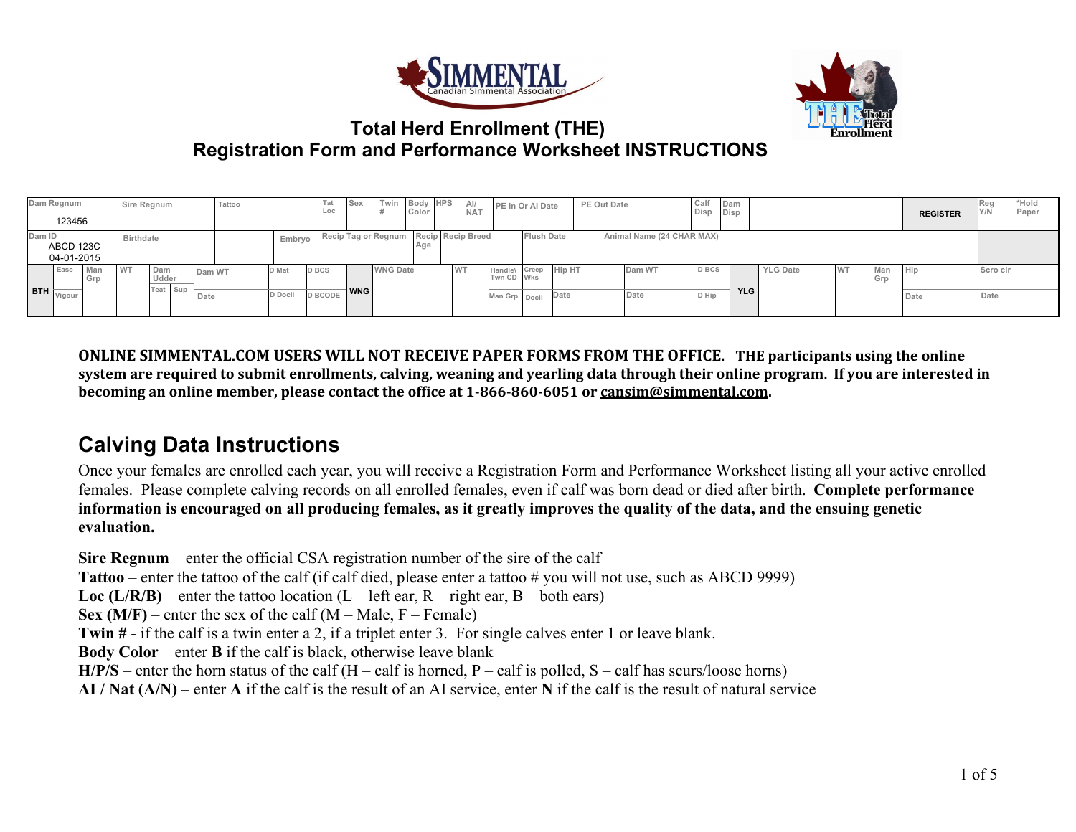



#### **Total Herd Enrollment (THE) Registration Form and Performance Worksheet INSTRUCTIONS**

|                  | Dam Regnum<br>123456    |            | Sire Regnum |              | Tattoo |         | Гаt<br>Loc     | Sex        | Twin                                  | Body HPS<br>Color |           | A<br><b>NAT</b> | PE In Or Al Date                   |                   |      | PE Out Date               | Calf<br>Disp Disp | Dam        |                 |           |            | <b>REGISTER</b> | Reg<br>Y/N | *Hold<br>Paper |
|------------------|-------------------------|------------|-------------|--------------|--------|---------|----------------|------------|---------------------------------------|-------------------|-----------|-----------------|------------------------------------|-------------------|------|---------------------------|-------------------|------------|-----------------|-----------|------------|-----------------|------------|----------------|
| Dam ID           | ABCD 123C<br>04-01-2015 |            | Birthdate   |              |        | Embryo  |                |            | Recip Tag or Regnum Recip Recip Breed |                   |           |                 |                                    | <b>Flush Date</b> |      | Animal Name (24 CHAR MAX) |                   |            |                 |           |            |                 |            |                |
|                  | Ease                    | Man<br>Grp | <b>WT</b>   | Dam<br>Udder | Dam WT | D Mat   | <b>D BCS</b>   |            | <b>WNG Date</b>                       |                   | <b>WT</b> |                 | Handle\ Creep Hip HT<br>Twn CD Wks |                   |      | Dam WT                    | D BCS             |            | <b>YLG Date</b> | <b>WT</b> | Man<br>Grp | Hip             | Scro cir   |                |
| BTH <sub>1</sub> | Vigour                  |            |             | Teat Sup     | Date   | D Docil | <b>D BCODE</b> | <b>WNG</b> |                                       |                   |           |                 | Man Grp Docil                      |                   | Date | Date                      | D Hip             | <b>YLG</b> |                 |           |            | Date            | Date       |                |

**ONLINE SIMMENTAL.COM USERS WILL NOT RECEIVE PAPER FORMS FROM THE OFFICE. THE participants using the online system are required to submit enrollments, calving, weaning and yearling data through their online program. If you are interested in becoming an online member, please contact the office at 1-866-860-6051 or [cansim@simmental.com.](mailto:cansim@simmental.com)**

### **Calving Data Instructions**

Once your females are enrolled each year, you will receive a Registration Form and Performance Worksheet listing all your active enrolled females. Please complete calving records on all enrolled females, even if calf was born dead or died after birth. **Complete performance information is encouraged on all producing females, as it greatly improves the quality of the data, and the ensuing genetic evaluation.** 

**Sire Regnum** – enter the official CSA registration number of the sire of the calf **Tattoo** – enter the tattoo of the calf (if calf died, please enter a tattoo # you will not use, such as ABCD 9999) **Loc (L/R/B)** – enter the tattoo location (L – left ear, R – right ear, B – both ears) **Sex (M/F)** – enter the sex of the calf (M – Male,  $F$  – Female) **Twin #** - if the calf is a twin enter a 2, if a triplet enter 3. For single calves enter 1 or leave blank. **Body Color** – enter **B** if the calf is black, otherwise leave blank  $H/P/S$  – enter the horn status of the calf (H – calf is horned, P – calf is polled, S – calf has scurs/loose horns) **AI / Nat (A/N)** – enter **A** if the calf is the result of an AI service, enter **N** if the calf is the result of natural service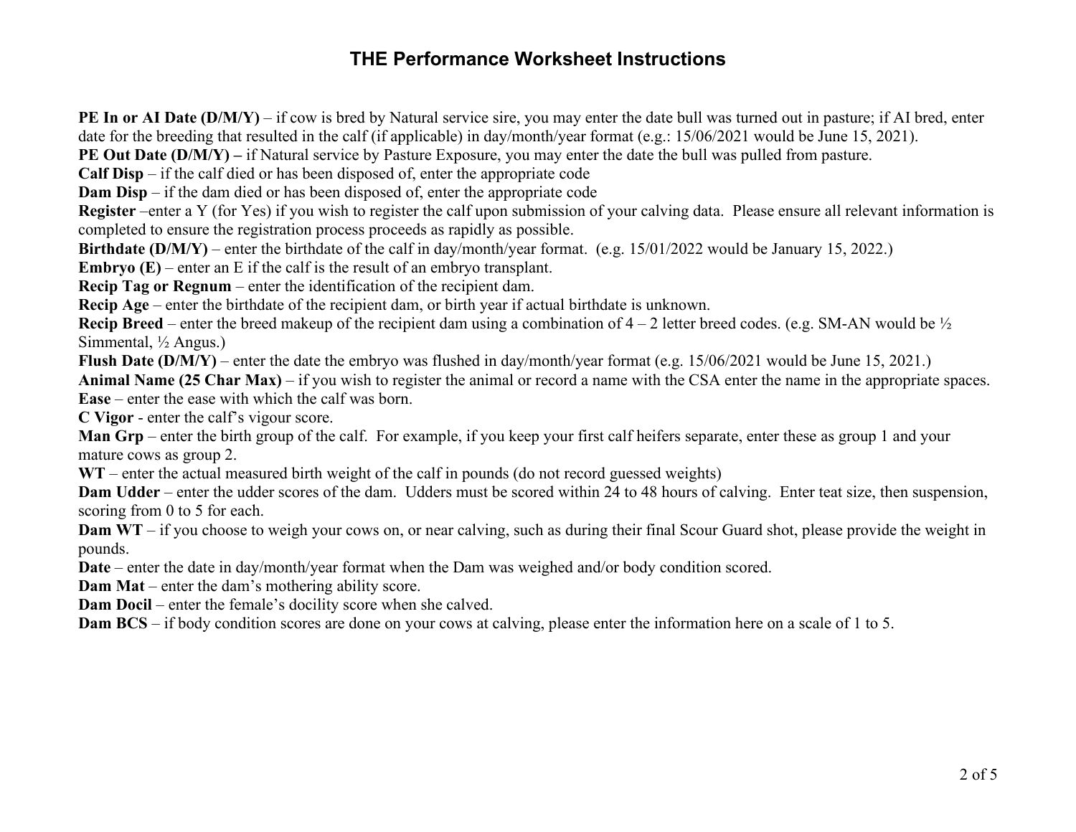### **THE Performance Worksheet Instructions**

**PE In or AI Date (D/M/Y)** – if cow is bred by Natural service sire, you may enter the date bull was turned out in pasture; if AI bred, enter date for the breeding that resulted in the calf (if applicable) in day/month/year format (e.g.: 15/06/2021 would be June 15, 2021). **PE Out Date (D/M/Y)** – if Natural service by Pasture Exposure, you may enter the date the bull was pulled from pasture. **Calf Disp** – if the calf died or has been disposed of, enter the appropriate code **Dam Disp** – if the dam died or has been disposed of, enter the appropriate code **Register** –enter a Y (for Yes) if you wish to register the calf upon submission of your calving data. Please ensure all relevant information is completed to ensure the registration process proceeds as rapidly as possible. **Birthdate (D/M/Y)** – enter the birthdate of the calf in day/month/year format. (e.g. 15/01/2022 would be January 15, 2022.) **Embryo (E)** – enter an E if the calf is the result of an embryo transplant. **Recip Tag or Regnum** – enter the identification of the recipient dam. **Recip Age** – enter the birthdate of the recipient dam, or birth year if actual birthdate is unknown. **Recip Breed** – enter the breed makeup of the recipient dam using a combination of 4 – 2 letter breed codes. (e.g. SM-AN would be  $\frac{1}{2}$ ) Simmental, ½ Angus.) **Flush Date (D/M/Y)** – enter the date the embryo was flushed in day/month/year format (e.g. 15/06/2021 would be June 15, 2021.) **Animal Name (25 Char Max)** – if you wish to register the animal or record a name with the CSA enter the name in the appropriate spaces. **Ease** – enter the ease with which the calf was born. **C Vigor** - enter the calf's vigour score. **Man Grp** – enter the birth group of the calf. For example, if you keep your first calf heifers separate, enter these as group 1 and your mature cows as group 2. WT – enter the actual measured birth weight of the calf in pounds (do not record guessed weights) **Dam Udder** – enter the udder scores of the dam. Udders must be scored within 24 to 48 hours of calving. Enter teat size, then suspension, scoring from 0 to 5 for each. **Dam WT** – if you choose to weigh your cows on, or near calving, such as during their final Scour Guard shot, please provide the weight in pounds. **Date** – enter the date in day/month/year format when the Dam was weighed and/or body condition scored. **Dam Mat** – enter the dam's mothering ability score. **Dam Docil** – enter the female's docility score when she calved. **Dam BCS** – if body condition scores are done on your cows at calving, please enter the information here on a scale of 1 to 5.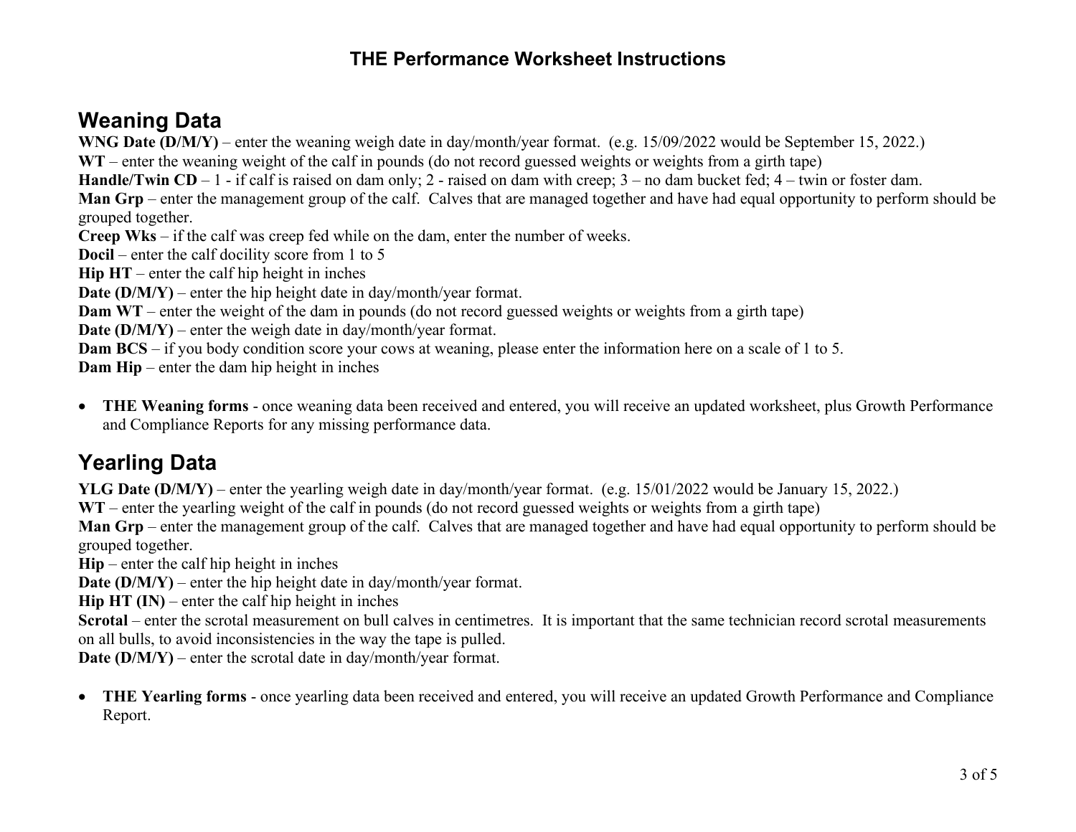### **THE Performance Worksheet Instructions**

## **Weaning Data**

**WNG Date (D/M/Y)** – enter the weaning weigh date in day/month/year format. (e.g. 15/09/2022 would be September 15, 2022.)

**WT** – enter the weaning weight of the calf in pounds (do not record guessed weights or weights from a girth tape)

**Handle/Twin CD** – 1 - if calf is raised on dam only; 2 - raised on dam with creep; 3 – no dam bucket fed; 4 – twin or foster dam.

**Man Grp** – enter the management group of the calf. Calves that are managed together and have had equal opportunity to perform should be grouped together.

**Creep Wks** – if the calf was creep fed while on the dam, enter the number of weeks.

**Docil** – enter the calf docility score from 1 to 5

**Hip HT** – enter the calf hip height in inches

**Date (D/M/Y)** – enter the hip height date in day/month/year format.

**Dam WT** – enter the weight of the dam in pounds (do not record guessed weights or weights from a girth tape)

**Date (D/M/Y)** – enter the weigh date in day/month/year format.

**Dam BCS** – if you body condition score your cows at weaning, please enter the information here on a scale of 1 to 5.

**Dam Hip** – enter the dam hip height in inches

• **THE Weaning forms** - once weaning data been received and entered, you will receive an updated worksheet, plus Growth Performance and Compliance Reports for any missing performance data.

# **Yearling Data**

**YLG Date (D/M/Y)** – enter the yearling weigh date in day/month/year format. (e.g. 15/01/2022 would be January 15, 2022.)

**WT** – enter the yearling weight of the calf in pounds (do not record guessed weights or weights from a girth tape)

**Man Grp** – enter the management group of the calf. Calves that are managed together and have had equal opportunity to perform should be grouped together.

**Hip** – enter the calf hip height in inches

**Date (D/M/Y)** – enter the hip height date in day/month/year format.

**Hip HT (IN)** – enter the calf hip height in inches

**Scrotal** – enter the scrotal measurement on bull calves in centimetres. It is important that the same technician record scrotal measurements on all bulls, to avoid inconsistencies in the way the tape is pulled.

**Date (D/M/Y)** – enter the scrotal date in day/month/year format.

• **THE Yearling forms** - once yearling data been received and entered, you will receive an updated Growth Performance and Compliance Report.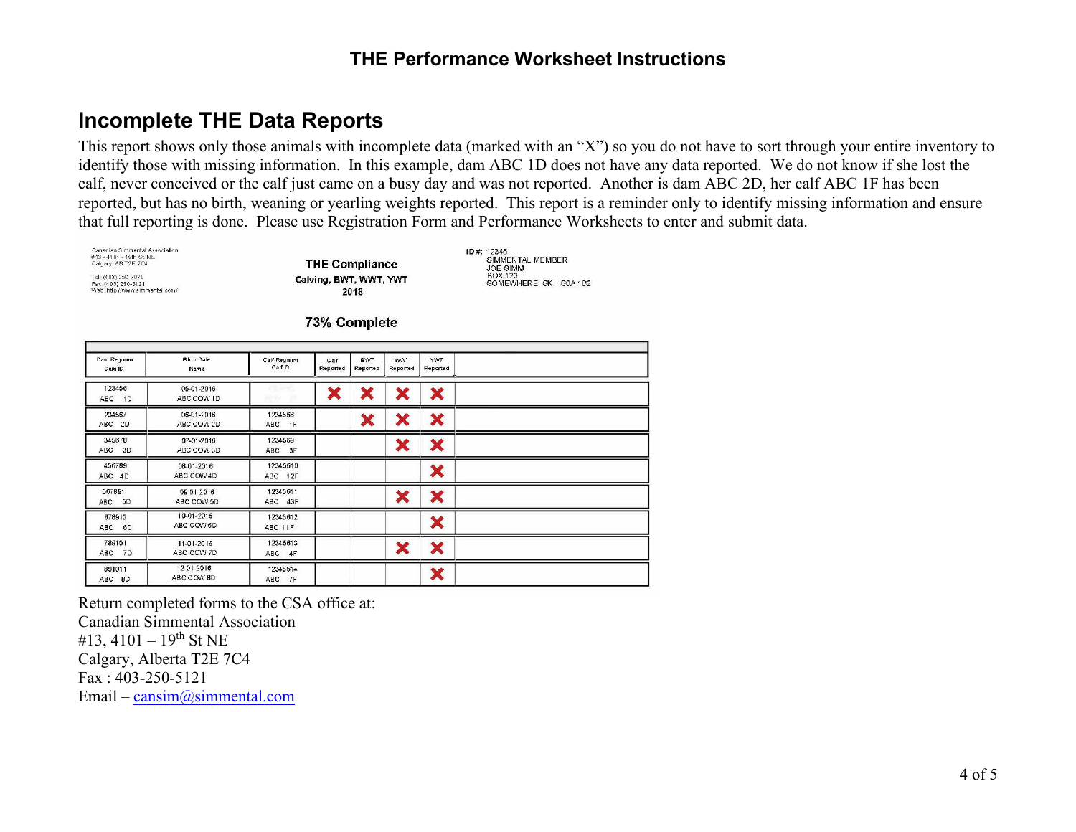### **Incomplete THE Data Reports**

This report shows only those animals with incomplete data (marked with an "X") so you do not have to sort through your entire inventory to identify those with missing information. In this example, dam ABC 1D does not have any data reported. We do not know if she lost the calf, never conceived or the calf just came on a busy day and was not reported. Another is dam ABC 2D, her calf ABC 1F has been reported, but has no birth, weaning or yearling weights reported. This report is a reminder only to identify missing information and ensure that full reporting is done. Please use Registration Form and Performance Worksheets to enter and submit data.

Canadian Simmental Association #13 - 4101 - 19th St. NE<br>Calgary, AB T2E 7C4 Tel.: (403) 250-7979<br>Fax: (403) 250-5121<br>Web::http://www.simmental.com/

**THE Compliance** Calving, BWT, WWT, YWT 2018

ID#: 12345<br>SIMMENTAL MEMBER JOE SIMM<br>BOX 123 SOMEWHERE, SK S0A 1B2

73% Complete

| Dam Regnum<br>Dam ID | <b>Birth Date</b><br>Name | Calf Regnum<br>Calf ID     | Calf<br>Reported | <b>BWT</b><br>Reported | <b>WWT</b><br>Reported | <b>YWT</b><br>Reported     |  |
|----------------------|---------------------------|----------------------------|------------------|------------------------|------------------------|----------------------------|--|
| 123456<br>ABC 1D     | 05-01-2016<br>ABC COW 1D  | en met<br><b>John Mary</b> |                  | Х                      | ×                      | ×                          |  |
| 234567<br>ABC 2D     | 06-01-2016<br>ABC COW 2D  | 1234568<br>ABC 1F          |                  | ×                      | ×                      | ×                          |  |
| 345678<br>ABC 3D     | 07-01-2016<br>ABC COW 3D  | 1234569<br>ABC 3F          |                  |                        | ×                      | ×                          |  |
| 456789<br>ABC 4D     | 08-01-2016<br>ABC COW 4D  | 12345610<br>ABC 12F        |                  |                        |                        | ×                          |  |
| 567891<br>ABC 5D     | 09-01-2016<br>ABC COW 5D  | 12345611<br>ABC 43F        |                  |                        | ×                      | ×                          |  |
| 678910<br>ABC 6D     | 10-01-2016<br>ABC COW 6D  | 12345612<br>ABC 11F        |                  |                        |                        | ×                          |  |
| 789101<br>ABC 7D     | 11-01-2016<br>ABC COW 7D  | 12345613<br>ABC 4F         |                  |                        | ×                      | ×                          |  |
| 891011<br>ABC 8D     | 12-01-2016<br>ABC COW 8D  | 12345614<br>ABC 7F         |                  |                        |                        | $\blacktriangleright$<br>୵ |  |

Return completed forms to the CSA office at: Canadian Simmental Association #13, 4101 – 19<sup>th</sup> St NE Calgary, Alberta T2E 7C4 Fax : 403-250-5121 Email – [cansim@simmental.com](mailto:cansim@simmental.com)